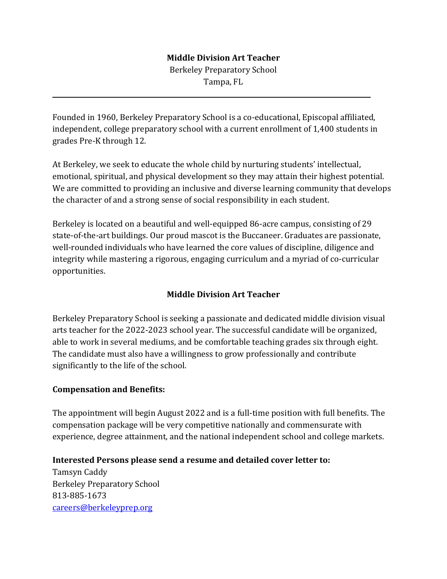## **Middle Division Art Teacher**

Berkeley Preparatory School Tampa, FL

Founded in 1960, Berkeley Preparatory School is a co-educational, Episcopal affiliated, independent, college preparatory school with a current enrollment of 1,400 students in grades Pre-K through 12.

At Berkeley, we seek to educate the whole child by nurturing students' intellectual, emotional, spiritual, and physical development so they may attain their highest potential. We are committed to providing an inclusive and diverse learning community that develops the character of and a strong sense of social responsibility in each student.

Berkeley is located on a beautiful and well-equipped 86-acre campus, consisting of 29 state-of-the-art buildings. Our proud mascot is the Buccaneer. Graduates are passionate, well-rounded individuals who have learned the core values of discipline, diligence and integrity while mastering a rigorous, engaging curriculum and a myriad of co-curricular opportunities.

## **Middle Division Art Teacher**

Berkeley Preparatory School is seeking a passionate and dedicated middle division visual arts teacher for the 2022-2023 school year. The successful candidate will be organized, able to work in several mediums, and be comfortable teaching grades six through eight. The candidate must also have a willingness to grow professionally and contribute significantly to the life of the school.

## **Compensation and Benefits:**

l

The appointment will begin August 2022 and is a full-time position with full benefits. The compensation package will be very competitive nationally and commensurate with experience, degree attainment, and the national independent school and college markets.

## **Interested Persons please send a resume and detailed cover letter to:**

Tamsyn Caddy Berkeley Preparatory School 813-885-1673 [careers@berkeleyprep.org](mailto:careers@berkeleyprep.org)